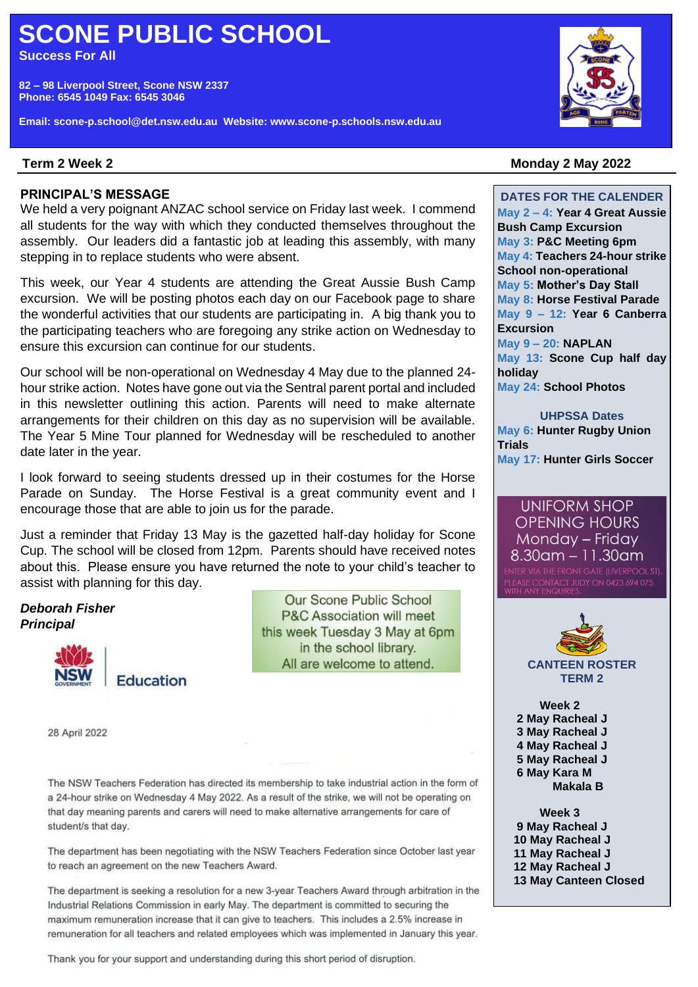# **SCONE PUBLIC SCHOOL**

**Success For All**

**82 – 98 Liverpool Street, Scone NSW 2337 Phone: 6545 1049 Fax: 6545 3046**

**Email: scone-p.school@det.nsw.edu.au Website: www.scone-p.schools.nsw.edu.au**



### Term 2 Week 2

#### **PRINCIPAL'S MESSAGE**

We held a very poignant ANZAC school service on Friday last week. I commend all students for the way with which they conducted themselves throughout the assembly. Our leaders did a fantastic job at leading this assembly, with many stepping in to replace students who were absent.

This week, our Year 4 students are attending the Great Aussie Bush Camp excursion. We will be posting photos each day on our Facebook page to share the wonderful activities that our students are participating in. A big thank you to the participating teachers who are foregoing any strike action on Wednesday to ensure this excursion can continue for our students.

Our school will be non-operational on Wednesday 4 May due to the planned 24 hour strike action. Notes have gone out via the Sentral parent portal and included in this newsletter outlining this action. Parents will need to make alternate arrangements for their children on this day as no supervision will be available. The Year 5 Mine Tour planned for Wednesday will be rescheduled to another date later in the year.

I look forward to seeing students dressed up in their costumes for the Horse Parade on Sunday. The Horse Festival is a great community event and I encourage those that are able to join us for the parade.

Just a reminder that Friday 13 May is the gazetted half-day holiday for Scone Cup. The school will be closed from 12pm. Parents should have received notes about this. Please ensure you have returned the note to your child's teacher to assist with planning for this day.

*Deborah Fisher Principal*



**Our Scone Public School P&C Association will meet** this week Tuesday 3 May at 6pm in the school library. All are welcome to attend.

28 April 2022

The NSW Teachers Federation has directed its membership to take industrial action in the form of a 24-hour strike on Wednesday 4 May 2022. As a result of the strike, we will not be operating on that day meaning parents and carers will need to make alternative arrangements for care of student/s that day.

The department has been negotiating with the NSW Teachers Federation since October last year to reach an agreement on the new Teachers Award.

The department is seeking a resolution for a new 3-year Teachers Award through arbitration in the Industrial Relations Commission in early May. The department is committed to securing the maximum remuneration increase that it can give to teachers. This includes a 2.5% increase in remuneration for all teachers and related employees which was implemented in January this year.

**May 2 – 4: Year 4 Great Aussie Bush Camp Excursion**

**May 3: P&C Meeting 6pm May 4: Teachers 24-hour strike School non-operational May 5: Mother's Day Stall May 8: Horse Festival Parade May 9 – 12: Year 6 Canberra Excursion May 9 – 20: NAPLAN**

**DATES FOR THE CALENDER**

**Term 2 Week 2 Monday 2 May 2022**

**May 13: Scone Cup half day holiday May 24: School Photos**

**UHPSSA Dates May 6: Hunter Rugby Union Trials May 17: Hunter Girls Soccer**

**UNIFORM SHOP OPENING HOURS** Monday - Friday  $8.30$ am – 11.30am



**Week 2 2 May Racheal J 3 May Racheal J 4 May Racheal J 5 May Racheal J 6 May Kara M**

 **Makala B** 

**Week 3 May Racheal J May Racheal J May Racheal J May Racheal J May Canteen Closed** 

Thank you for your support and understanding during this short period of disruption.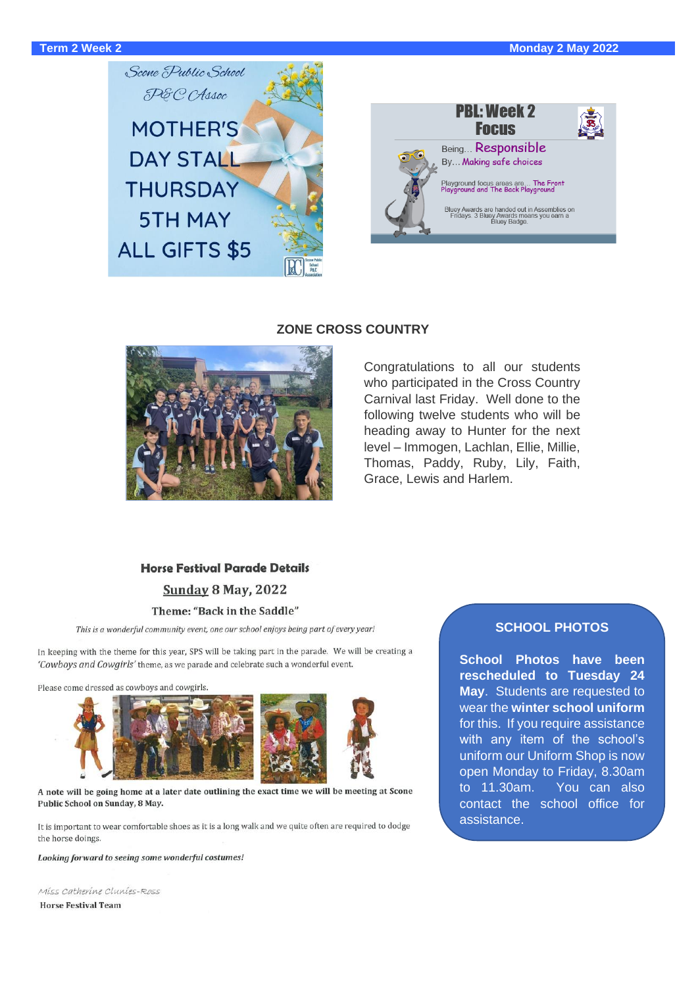



#### **ZONE CROSS COUNTRY**



#### Congratulations to all our students who participated in the Cross Country Carnival last Friday. Well done to the following twelve students who will be heading away to Hunter for the next level – Immogen, Lachlan, Ellie, Millie, Thomas, Paddy, Ruby, Lily, Faith, Grace, Lewis and Harlem.

## **Horse Festival Parade Details**

**Sunday 8 May, 2022** 

#### Theme: "Back in the Saddle"

This is a wonderful community event, one our school enjoys being part of every year!

In keeping with the theme for this year, SPS will be taking part in the parade. We will be creating a 'Cowboys and Cowgirls' theme, as we parade and celebrate such a wonderful event.

Please come dressed as cowboys and cowgirls.



#### A note will be going home at a later date outlining the exact time we will be meeting at Scone Public School on Sunday, 8 May.

It is important to wear comfortable shoes as it is a long walk and we quite often are required to dodge the horse doings.

Looking forward to seeing some wonderful costumes!

Miss Catherine Clunies-Ross **Horse Festival Team** 

#### **SCHOOL PHOTOS**

**School Photos have been rescheduled to Tuesday 24 May**. Students are requested to wear the **winter school uniform** for this. If you require assistance with any item of the school's uniform our Uniform Shop is now open Monday to Friday, 8.30am to 11.30am. You can also contact the school office for assistance.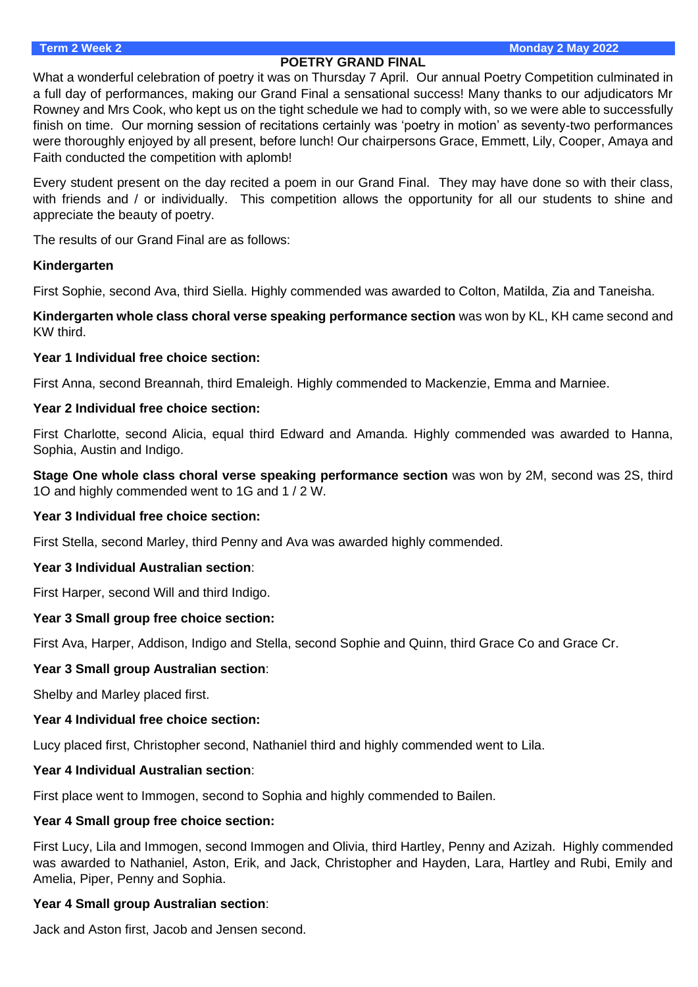#### **POETRY GRAND FINAL**

What a wonderful celebration of poetry it was on Thursday 7 April. Our annual Poetry Competition culminated in a full day of performances, making our Grand Final a sensational success! Many thanks to our adjudicators Mr Rowney and Mrs Cook, who kept us on the tight schedule we had to comply with, so we were able to successfully finish on time. Our morning session of recitations certainly was 'poetry in motion' as seventy-two performances were thoroughly enjoyed by all present, before lunch! Our chairpersons Grace, Emmett, Lily, Cooper, Amaya and Faith conducted the competition with aplomb!

Every student present on the day recited a poem in our Grand Final. They may have done so with their class, with friends and / or individually. This competition allows the opportunity for all our students to shine and appreciate the beauty of poetry.

The results of our Grand Final are as follows:

#### **Kindergarten**

First Sophie, second Ava, third Siella. Highly commended was awarded to Colton, Matilda, Zia and Taneisha.

**Kindergarten whole class choral verse speaking performance section** was won by KL, KH came second and KW third.

#### **Year 1 Individual free choice section:**

First Anna, second Breannah, third Emaleigh. Highly commended to Mackenzie, Emma and Marniee.

#### **Year 2 Individual free choice section:**

First Charlotte, second Alicia, equal third Edward and Amanda. Highly commended was awarded to Hanna, Sophia, Austin and Indigo.

**Stage One whole class choral verse speaking performance section** was won by 2M, second was 2S, third 1O and highly commended went to 1G and 1 / 2 W.

#### **Year 3 Individual free choice section:**

First Stella, second Marley, third Penny and Ava was awarded highly commended.

#### **Year 3 Individual Australian section**:

First Harper, second Will and third Indigo.

#### **Year 3 Small group free choice section:**

First Ava, Harper, Addison, Indigo and Stella, second Sophie and Quinn, third Grace Co and Grace Cr.

#### **Year 3 Small group Australian section**:

Shelby and Marley placed first.

#### **Year 4 Individual free choice section:**

Lucy placed first, Christopher second, Nathaniel third and highly commended went to Lila.

#### **Year 4 Individual Australian section**:

First place went to Immogen, second to Sophia and highly commended to Bailen.

#### **Year 4 Small group free choice section:**

First Lucy, Lila and Immogen, second Immogen and Olivia, third Hartley, Penny and Azizah. Highly commended was awarded to Nathaniel, Aston, Erik, and Jack, Christopher and Hayden, Lara, Hartley and Rubi, Emily and Amelia, Piper, Penny and Sophia.

#### **Year 4 Small group Australian section**:

Jack and Aston first, Jacob and Jensen second.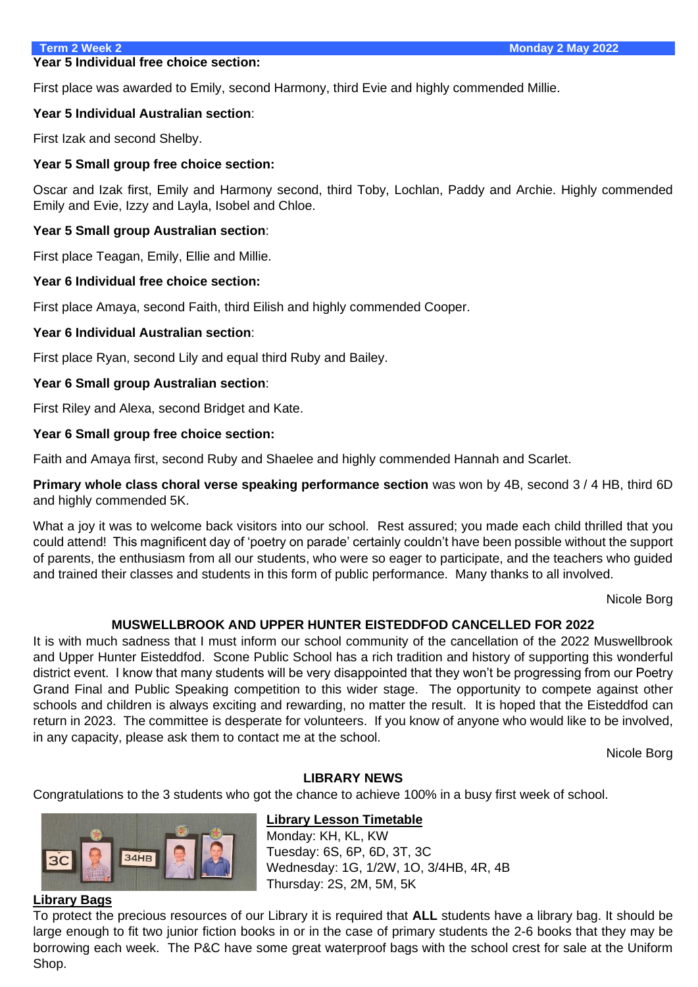#### **Year 5 Individual free choice section:**

First place was awarded to Emily, second Harmony, third Evie and highly commended Millie.

#### **Year 5 Individual Australian section**:

First Izak and second Shelby.

#### **Year 5 Small group free choice section:**

Oscar and Izak first, Emily and Harmony second, third Toby, Lochlan, Paddy and Archie. Highly commended Emily and Evie, Izzy and Layla, Isobel and Chloe.

#### **Year 5 Small group Australian section**:

First place Teagan, Emily, Ellie and Millie.

#### **Year 6 Individual free choice section:**

First place Amaya, second Faith, third Eilish and highly commended Cooper.

#### **Year 6 Individual Australian section**:

First place Ryan, second Lily and equal third Ruby and Bailey.

#### **Year 6 Small group Australian section**:

First Riley and Alexa, second Bridget and Kate.

#### **Year 6 Small group free choice section:**

Faith and Amaya first, second Ruby and Shaelee and highly commended Hannah and Scarlet.

**Primary whole class choral verse speaking performance section** was won by 4B, second 3 / 4 HB, third 6D and highly commended 5K.

What a joy it was to welcome back visitors into our school. Rest assured; you made each child thrilled that you could attend! This magnificent day of 'poetry on parade' certainly couldn't have been possible without the support of parents, the enthusiasm from all our students, who were so eager to participate, and the teachers who guided and trained their classes and students in this form of public performance. Many thanks to all involved.

Nicole Borg

#### **MUSWELLBROOK AND UPPER HUNTER EISTEDDFOD CANCELLED FOR 2022**

It is with much sadness that I must inform our school community of the cancellation of the 2022 Muswellbrook and Upper Hunter Eisteddfod. Scone Public School has a rich tradition and history of supporting this wonderful district event. I know that many students will be very disappointed that they won't be progressing from our Poetry Grand Final and Public Speaking competition to this wider stage. The opportunity to compete against other schools and children is always exciting and rewarding, no matter the result. It is hoped that the Eisteddfod can return in 2023. The committee is desperate for volunteers. If you know of anyone who would like to be involved, in any capacity, please ask them to contact me at the school.

Nicole Borg

#### **LIBRARY NEWS**

Congratulations to the 3 students who got the chance to achieve 100% in a busy first week of school.



#### **Library Lesson Timetable**

Monday: KH, KL, KW Tuesday: 6S, 6P, 6D, 3T, 3C Wednesday: 1G, 1/2W, 1O, 3/4HB, 4R, 4B Thursday: 2S, 2M, 5M, 5K

#### **Library Bags**

To protect the precious resources of our Library it is required that **ALL** students have a library bag. It should be large enough to fit two junior fiction books in or in the case of primary students the 2-6 books that they may be borrowing each week. The P&C have some great waterproof bags with the school crest for sale at the Uniform Shop.